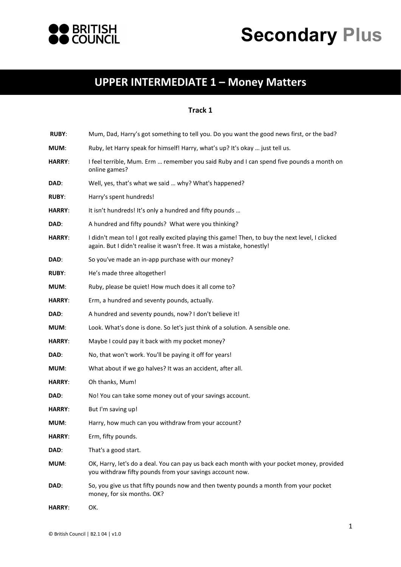



## **UPPER INTERMEDIATE 1 ʹ Money Matters**

## **Track 1**

| <b>RUBY:</b>  | Mum, Dad, Harry's got something to tell you. Do you want the good news first, or the bad?                                                                                   |
|---------------|-----------------------------------------------------------------------------------------------------------------------------------------------------------------------------|
| MUM:          | Ruby, let Harry speak for himself! Harry, what's up? It's okay  just tell us.                                                                                               |
| <b>HARRY:</b> | I feel terrible, Mum. Erm  remember you said Ruby and I can spend five pounds a month on<br>online games?                                                                   |
| DAD:          | Well, yes, that's what we said  why? What's happened?                                                                                                                       |
| <b>RUBY:</b>  | Harry's spent hundreds!                                                                                                                                                     |
| <b>HARRY:</b> | It isn't hundreds! It's only a hundred and fifty pounds                                                                                                                     |
| DAD:          | A hundred and fifty pounds? What were you thinking?                                                                                                                         |
| <b>HARRY:</b> | I didn't mean to! I got really excited playing this game! Then, to buy the next level, I clicked<br>again. But I didn't realise it wasn't free. It was a mistake, honestly! |
| DAD:          | So you've made an in-app purchase with our money?                                                                                                                           |
| <b>RUBY:</b>  | He's made three altogether!                                                                                                                                                 |
| MUM:          | Ruby, please be quiet! How much does it all come to?                                                                                                                        |
| <b>HARRY:</b> | Erm, a hundred and seventy pounds, actually.                                                                                                                                |
| DAD:          | A hundred and seventy pounds, now? I don't believe it!                                                                                                                      |
| MUM:          | Look. What's done is done. So let's just think of a solution. A sensible one.                                                                                               |
| <b>HARRY:</b> | Maybe I could pay it back with my pocket money?                                                                                                                             |
| DAD:          | No, that won't work. You'll be paying it off for years!                                                                                                                     |
| MUM:          | What about if we go halves? It was an accident, after all.                                                                                                                  |
| <b>HARRY:</b> | Oh thanks, Mum!                                                                                                                                                             |
| DAD:          | No! You can take some money out of your savings account.                                                                                                                    |
| <b>HARRY:</b> | But I'm saving up!                                                                                                                                                          |
| MUM:          | Harry, how much can you withdraw from your account?                                                                                                                         |
| <b>HARRY:</b> | Erm, fifty pounds.                                                                                                                                                          |
| DAD:          | That's a good start.                                                                                                                                                        |
| MUM:          | OK, Harry, let's do a deal. You can pay us back each month with your pocket money, provided<br>you withdraw fifty pounds from your savings account now.                     |
| DAD:          | So, you give us that fifty pounds now and then twenty pounds a month from your pocket<br>money, for six months. OK?                                                         |
| <b>HARRY:</b> | OK.                                                                                                                                                                         |